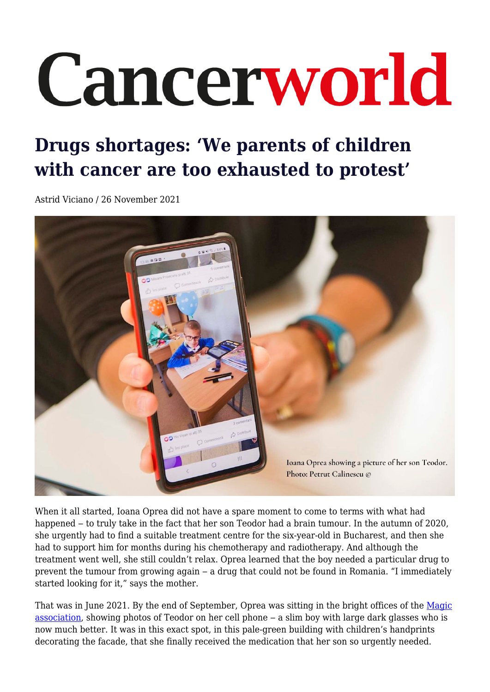# Cancerworld

## **Drugs shortages: 'We parents of children with cancer are too exhausted to protest'**

Astrid Viciano / 26 November 2021



When it all started, Ioana Oprea did not have a spare moment to come to terms with what had happened – to truly take in the fact that her son Teodor had a brain tumour. In the autumn of 2020, she urgently had to find a suitable treatment centre for the six-year-old in Bucharest, and then she had to support him for months during his chemotherapy and radiotherapy. And although the treatment went well, she still couldn't relax. Oprea learned that the boy needed a particular drug to prevent the tumour from growing again ‒ a drug that could not be found in Romania. "I immediately started looking for it," says the mother.

That was in June 2021. By the end of September, Oprea was sitting in the bright offices of the [Magic](https://asociatiamagic.ro/) [association,](https://asociatiamagic.ro/) showing photos of Teodor on her cell phone ‒ a slim boy with large dark glasses who is now much better. It was in this exact spot, in this pale-green building with children's handprints decorating the facade, that she finally received the medication that her son so urgently needed.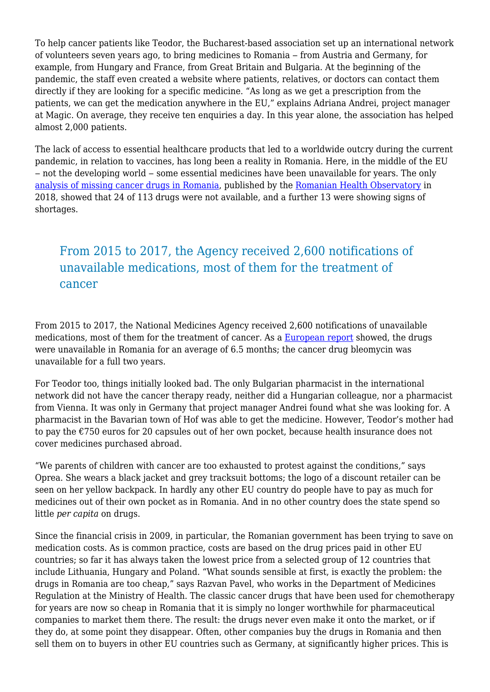To help cancer patients like Teodor, the Bucharest-based association set up an international network of volunteers seven years ago, to bring medicines to Romania – from Austria and Germany, for example, from Hungary and France, from Great Britain and Bulgaria. At the beginning of the pandemic, the staff even created a website where patients, relatives, or doctors can contact them directly if they are looking for a specific medicine. "As long as we get a prescription from the patients, we can get the medication anywhere in the EU," explains Adriana Andrei, project manager at Magic. On average, they receive ten enquiries a day. In this year alone, the association has helped almost 2,000 patients.

The lack of access to essential healthcare products that led to a worldwide outcry during the current pandemic, in relation to vaccines, has long been a reality in Romania. Here, in the middle of the EU – not the developing world – some essential medicines have been unavailable for years. The only [analysis of missing cancer drugs in Romania](https://drive.google.com/file/d/1-xv_Vkg7oODE8EHjitd0Yf5aXyAeceIp/view), published by the [Romanian Health Observatory](https://observatoruldesanatate.ro/home/) in 2018, showed that 24 of 113 drugs were not available, and a further 13 were showing signs of shortages.

### From 2015 to 2017, the Agency received 2,600 notifications of unavailable medications, most of them for the treatment of cancer

From 2015 to 2017, the National Medicines Agency received 2,600 notifications of unavailable medications, most of them for the treatment of cancer. As a [European report](https://www.esmo.org/content/download/197309/3552878/1/ESMO-Country-profile-Romania.pdf) showed, the drugs were unavailable in Romania for an average of 6.5 months; the cancer drug bleomycin was unavailable for a full two years.

For Teodor too, things initially looked bad. The only Bulgarian pharmacist in the international network did not have the cancer therapy ready, neither did a Hungarian colleague, nor a pharmacist from Vienna. It was only in Germany that project manager Andrei found what she was looking for. A pharmacist in the Bavarian town of Hof was able to get the medicine. However, Teodor's mother had to pay the €750 euros for 20 capsules out of her own pocket, because health insurance does not cover medicines purchased abroad.

"We parents of children with cancer are too exhausted to protest against the conditions," says Oprea. She wears a black jacket and grey tracksuit bottoms; the logo of a discount retailer can be seen on her yellow backpack. In hardly any other EU country do people have to pay as much for medicines out of their own pocket as in Romania. And in no other country does the state spend so little *per capita* on drugs.

Since the financial crisis in 2009, in particular, the Romanian government has been trying to save on medication costs. As is common practice, costs are based on the drug prices paid in other EU countries; so far it has always taken the lowest price from a selected group of 12 countries that include Lithuania, Hungary and Poland. "What sounds sensible at first, is exactly the problem: the drugs in Romania are too cheap," says Razvan Pavel, who works in the Department of Medicines Regulation at the Ministry of Health. The classic cancer drugs that have been used for chemotherapy for years are now so cheap in Romania that it is simply no longer worthwhile for pharmaceutical companies to market them there. The result: the drugs never even make it onto the market, or if they do, at some point they disappear. Often, other companies buy the drugs in Romania and then sell them on to buyers in other EU countries such as Germany, at significantly higher prices. This is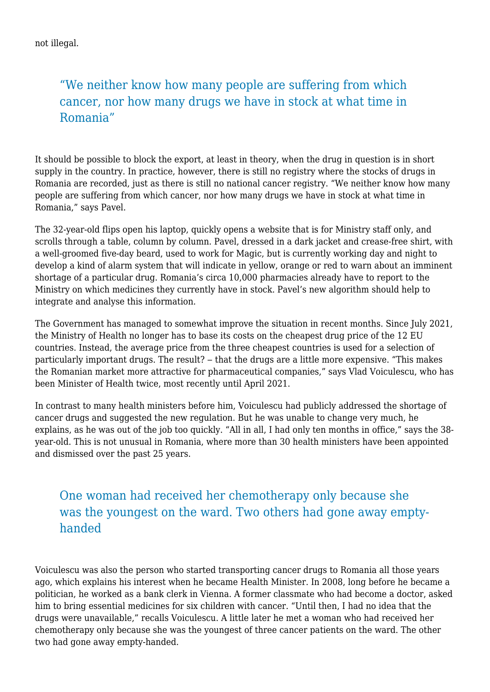not illegal.

### "We neither know how many people are suffering from which cancer, nor how many drugs we have in stock at what time in Romania"

It should be possible to block the export, at least in theory, when the drug in question is in short supply in the country. In practice, however, there is still no registry where the stocks of drugs in Romania are recorded, just as there is still no national cancer registry. "We neither know how many people are suffering from which cancer, nor how many drugs we have in stock at what time in Romania," says Pavel.

The 32-year-old flips open his laptop, quickly opens a website that is for Ministry staff only, and scrolls through a table, column by column. Pavel, dressed in a dark jacket and crease-free shirt, with a well-groomed five-day beard, used to work for Magic, but is currently working day and night to develop a kind of alarm system that will indicate in yellow, orange or red to warn about an imminent shortage of a particular drug. Romania's circa 10,000 pharmacies already have to report to the Ministry on which medicines they currently have in stock. Pavel's new algorithm should help to integrate and analyse this information.

The Government has managed to somewhat improve the situation in recent months. Since July 2021, the Ministry of Health no longer has to base its costs on the cheapest drug price of the 12 EU countries. Instead, the average price from the three cheapest countries is used for a selection of particularly important drugs. The result? – that the drugs are a little more expensive. "This makes the Romanian market more attractive for pharmaceutical companies," says Vlad Voiculescu, who has been Minister of Health twice, most recently until April 2021.

In contrast to many health ministers before him, Voiculescu had publicly addressed the shortage of cancer drugs and suggested the new regulation. But he was unable to change very much, he explains, as he was out of the job too quickly. "All in all, I had only ten months in office," says the 38 year-old. This is not unusual in Romania, where more than 30 health ministers have been appointed and dismissed over the past 25 years.

#### One woman had received her chemotherapy only because she was the youngest on the ward. Two others had gone away emptyhanded

Voiculescu was also the person who started transporting cancer drugs to Romania all those years ago, which explains his interest when he became Health Minister. In 2008, long before he became a politician, he worked as a bank clerk in Vienna. A former classmate who had become a doctor, asked him to bring essential medicines for six children with cancer. "Until then, I had no idea that the drugs were unavailable," recalls Voiculescu. A little later he met a woman who had received her chemotherapy only because she was the youngest of three cancer patients on the ward. The other two had gone away empty-handed.